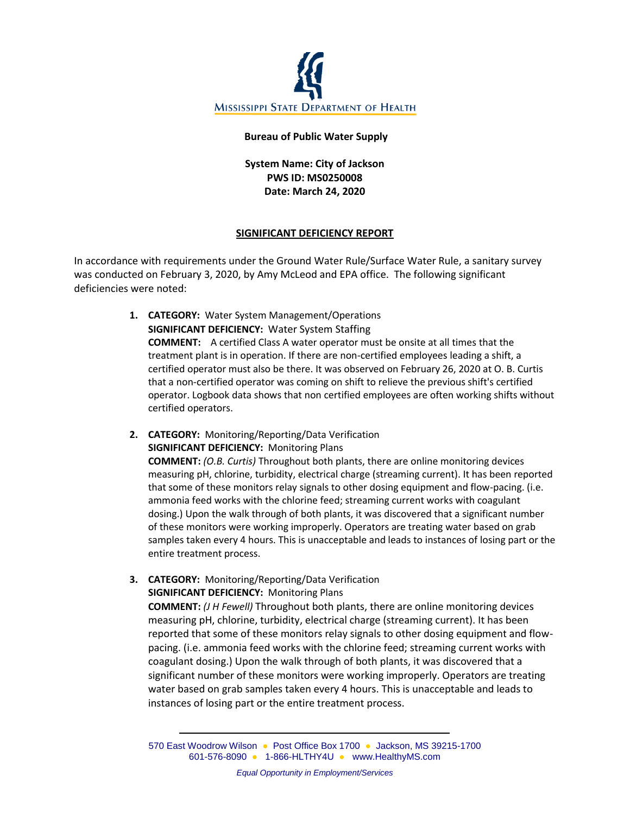

#### **Bureau of Public Water Supply**

# **System Name: City of Jackson PWS ID: MS0250008 Date: March 24, 2020**

## **SIGNIFICANT DEFICIENCY REPORT**

In accordance with requirements under the Ground Water Rule/Surface Water Rule, a sanitary survey was conducted on February 3, 2020, by Amy McLeod and EPA office. The following significant deficiencies were noted:

- **1. CATEGORY:** Water System Management/Operations **SIGNIFICANT DEFICIENCY:** Water System Staffing **COMMENT:** A certified Class A water operator must be onsite at all times that the treatment plant is in operation. If there are non-certified employees leading a shift, a certified operator must also be there. It was observed on February 26, 2020 at O. B. Curtis that a non-certified operator was coming on shift to relieve the previous shift's certified operator. Logbook data shows that non certified employees are often working shifts without certified operators.
- **2. CATEGORY:** Monitoring/Reporting/Data Verification **SIGNIFICANT DEFICIENCY:** Monitoring Plans **COMMENT:** *(O.B. Curtis)* Throughout both plants, there are online monitoring devices measuring pH, chlorine, turbidity, electrical charge (streaming current). It has been reported that some of these monitors relay signals to other dosing equipment and flow-pacing. (i.e. ammonia feed works with the chlorine feed; streaming current works with coagulant dosing.) Upon the walk through of both plants, it was discovered that a significant number of these monitors were working improperly. Operators are treating water based on grab samples taken every 4 hours. This is unacceptable and leads to instances of losing part or the entire treatment process.
- **3. CATEGORY:** Monitoring/Reporting/Data Verification **SIGNIFICANT DEFICIENCY:** Monitoring Plans **COMMENT:** *(J H Fewell)* Throughout both plants, there are online monitoring devices measuring pH, chlorine, turbidity, electrical charge (streaming current). It has been reported that some of these monitors relay signals to other dosing equipment and flowpacing. (i.e. ammonia feed works with the chlorine feed; streaming current works with coagulant dosing.) Upon the walk through of both plants, it was discovered that a significant number of these monitors were working improperly. Operators are treating water based on grab samples taken every 4 hours. This is unacceptable and leads to instances of losing part or the entire treatment process.

570 East Woodrow Wilson ● Post Office Box 1700 ● Jackson, MS 39215-1700 601-576-8090 ● 1-866-HLTHY4U ● [www.HealthyMS.com](http://www.healthyms.com/)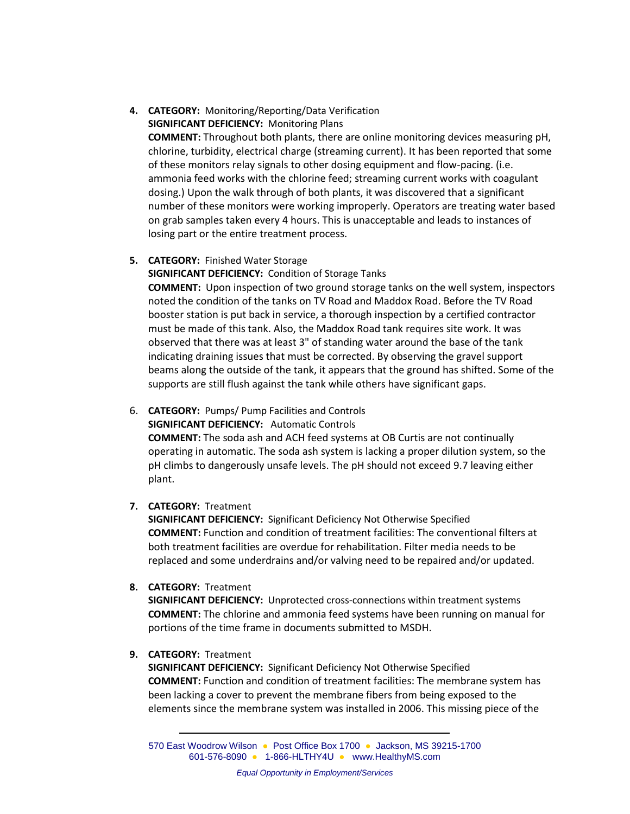# **4. CATEGORY:** Monitoring/Reporting/Data Verification **SIGNIFICANT DEFICIENCY:** Monitoring Plans

**COMMENT:** Throughout both plants, there are online monitoring devices measuring pH, chlorine, turbidity, electrical charge (streaming current). It has been reported that some of these monitors relay signals to other dosing equipment and flow-pacing. (i.e. ammonia feed works with the chlorine feed; streaming current works with coagulant dosing.) Upon the walk through of both plants, it was discovered that a significant number of these monitors were working improperly. Operators are treating water based on grab samples taken every 4 hours. This is unacceptable and leads to instances of losing part or the entire treatment process.

## **5. CATEGORY:** Finished Water Storage

**SIGNIFICANT DEFICIENCY:** Condition of Storage Tanks **COMMENT:** Upon inspection of two ground storage tanks on the well system, inspectors noted the condition of the tanks on TV Road and Maddox Road. Before the TV Road booster station is put back in service, a thorough inspection by a certified contractor must be made of this tank. Also, the Maddox Road tank requires site work. It was observed that there was at least 3" of standing water around the base of the tank indicating draining issues that must be corrected. By observing the gravel support beams along the outside of the tank, it appears that the ground has shifted. Some of the supports are still flush against the tank while others have significant gaps.

6. **CATEGORY:** Pumps/ Pump Facilities and Controls **SIGNIFICANT DEFICIENCY:** Automatic Controls **COMMENT:** The soda ash and ACH feed systems at OB Curtis are not continually operating in automatic. The soda ash system is lacking a proper dilution system, so the pH climbs to dangerously unsafe levels. The pH should not exceed 9.7 leaving either plant.

## **7. CATEGORY:** Treatment

**SIGNIFICANT DEFICIENCY:** Significant Deficiency Not Otherwise Specified **COMMENT:** Function and condition of treatment facilities: The conventional filters at both treatment facilities are overdue for rehabilitation. Filter media needs to be replaced and some underdrains and/or valving need to be repaired and/or updated.

## **8. CATEGORY:** Treatment

**SIGNIFICANT DEFICIENCY:** Unprotected cross-connections within treatment systems **COMMENT:** The chlorine and ammonia feed systems have been running on manual for portions of the time frame in documents submitted to MSDH.

#### **9. CATEGORY:** Treatment

**SIGNIFICANT DEFICIENCY:** Significant Deficiency Not Otherwise Specified **COMMENT:** Function and condition of treatment facilities: The membrane system has been lacking a cover to prevent the membrane fibers from being exposed to the elements since the membrane system was installed in 2006. This missing piece of the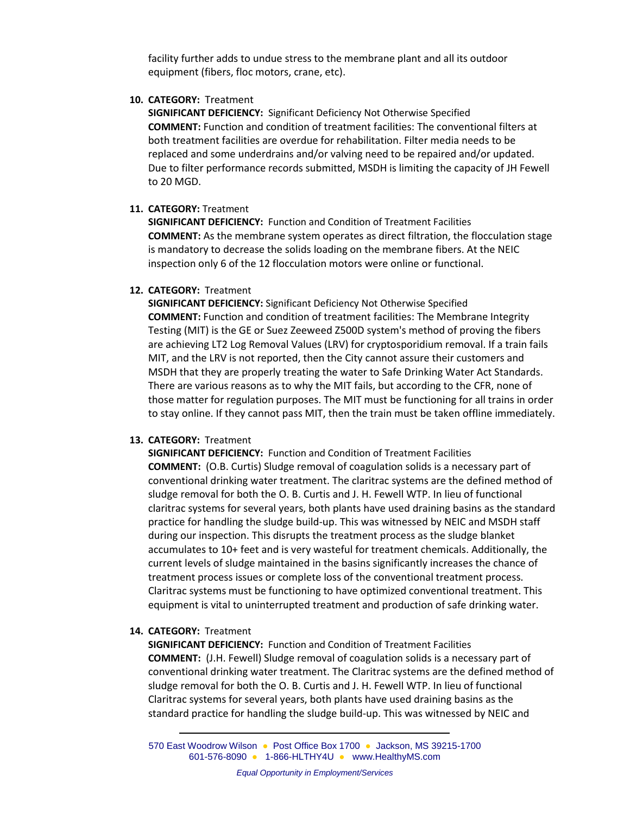facility further adds to undue stress to the membrane plant and all its outdoor equipment (fibers, floc motors, crane, etc).

### **10. CATEGORY:** Treatment

**SIGNIFICANT DEFICIENCY:** Significant Deficiency Not Otherwise Specified **COMMENT:** Function and condition of treatment facilities: The conventional filters at both treatment facilities are overdue for rehabilitation. Filter media needs to be replaced and some underdrains and/or valving need to be repaired and/or updated. Due to filter performance records submitted, MSDH is limiting the capacity of JH Fewell to 20 MGD.

### **11. CATEGORY:** Treatment

**SIGNIFICANT DEFICIENCY:** Function and Condition of Treatment Facilities **COMMENT:** As the membrane system operates as direct filtration, the flocculation stage is mandatory to decrease the solids loading on the membrane fibers. At the NEIC inspection only 6 of the 12 flocculation motors were online or functional.

### **12. CATEGORY:** Treatment

**SIGNIFICANT DEFICIENCY:** Significant Deficiency Not Otherwise Specified **COMMENT:** Function and condition of treatment facilities: The Membrane Integrity Testing (MIT) is the GE or Suez Zeeweed Z500D system's method of proving the fibers are achieving LT2 Log Removal Values (LRV) for cryptosporidium removal. If a train fails MIT, and the LRV is not reported, then the City cannot assure their customers and MSDH that they are properly treating the water to Safe Drinking Water Act Standards. There are various reasons as to why the MIT fails, but according to the CFR, none of those matter for regulation purposes. The MIT must be functioning for all trains in order to stay online. If they cannot pass MIT, then the train must be taken offline immediately.

## **13. CATEGORY:** Treatment

**SIGNIFICANT DEFICIENCY:** Function and Condition of Treatment Facilities **COMMENT:** (O.B. Curtis) Sludge removal of coagulation solids is a necessary part of conventional drinking water treatment. The claritrac systems are the defined method of sludge removal for both the O. B. Curtis and J. H. Fewell WTP. In lieu of functional claritrac systems for several years, both plants have used draining basins as the standard practice for handling the sludge build-up. This was witnessed by NEIC and MSDH staff during our inspection. This disrupts the treatment process as the sludge blanket accumulates to 10+ feet and is very wasteful for treatment chemicals. Additionally, the current levels of sludge maintained in the basins significantly increases the chance of treatment process issues or complete loss of the conventional treatment process. Claritrac systems must be functioning to have optimized conventional treatment. This equipment is vital to uninterrupted treatment and production of safe drinking water.

#### **14. CATEGORY:** Treatment

**SIGNIFICANT DEFICIENCY:** Function and Condition of Treatment Facilities **COMMENT:** (J.H. Fewell) Sludge removal of coagulation solids is a necessary part of conventional drinking water treatment. The Claritrac systems are the defined method of sludge removal for both the O. B. Curtis and J. H. Fewell WTP. In lieu of functional Claritrac systems for several years, both plants have used draining basins as the standard practice for handling the sludge build-up. This was witnessed by NEIC and

570 East Woodrow Wilson ● Post Office Box 1700 ● Jackson, MS 39215-1700 601-576-8090 ● 1-866-HLTHY4U ● [www.HealthyMS.com](http://www.healthyms.com/)